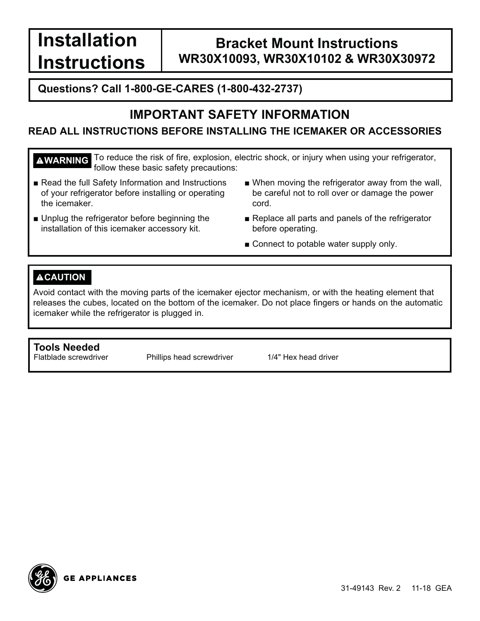**Installation Instructions**

## **Bracket Mount Instructions WR30X10093, WR30X10102 & WR30X30972**

#### **Questions? Call 1-800-GE-CARES (1-800-432-2737)**

### **IMPORTANT SAFETY INFORMATION**

#### **READ ALL INSTRUCTIONS BEFORE INSTALLING THE ICEMAKER OR ACCESSORIES**

**WARNING** To reduce the risk of fire, explosion, electric shock, or injury when using your refrigerator, follow these basic safety precautions:

- Read the full Safety Information and Instructions of your refrigerator before installing or operating the icemaker.
- Unplug the refrigerator before beginning the installation of this icemaker accessory kit.
- $\blacksquare$  When moving the refrigerator away from the wall, be careful not to roll over or damage the power cord.
- Replace all parts and panels of the refrigerator before operating.
- $\blacksquare$  Connect to potable water supply only.

#### **ACAUTION**

Avoid contact with the moving parts of the icemaker ejector mechanism, or with the heating element that releases the cubes, located on the bottom of the icemaker. Do not place fingers or hands on the automatic icemaker while the refrigerator is plugged in.

#### **Tools Needed**

Flatblade screwdriver Phillips head screwdriver 1/4" Hex head driver

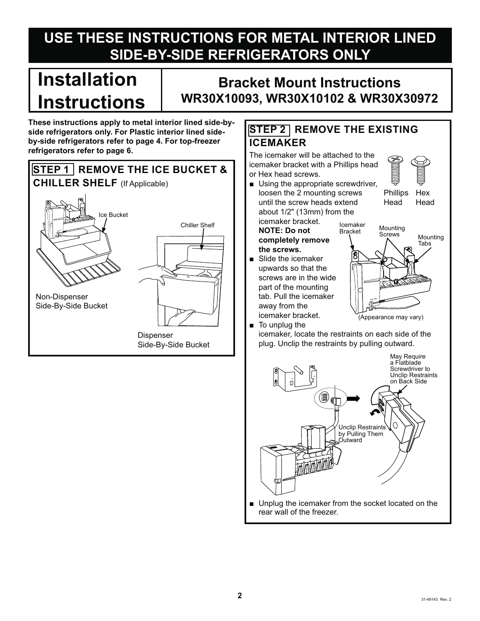# **USE THESE INSTRUCTIONS FOR METAL INTERIOR LINED SIDE-BY-SIDE REFRIGERATORS ONLY**

# **Installation Instructions**

## **Bracket Mount Instructions WR30X10093, WR30X10102 & WR30X30972**

**These instructions apply to metal interior lined side-byside refrigerators only. For Plastic interior lined sideby-side refrigerators refer to page 4. For top-freezer refrigerators refer to page 6.** 



#### **STEP 2 REMOVE THE EXISTING ICEMAKER**

The icemaker will be attached to the icemaker bracket with a Phillips head or Hex head screws.

**B** Using the appropriate screwdriver, loosen the 2 mounting screws until the screw heads extend about  $1/2$ " (13mm) from the

Phillips Hex

Head Head

icemaker bracket. **NOTE: Do not completely remove the screws.**

 $\blacksquare$  Slide the icemaker upwards so that the screws are in the wide part of the mounting tab. Pull the icemaker away from the icemaker bracket.



 $\blacksquare$  To unplug the icemaker, locate the restraints on each side of the plug. Unclip the restraints by pulling outward.



rear wall of the freezer.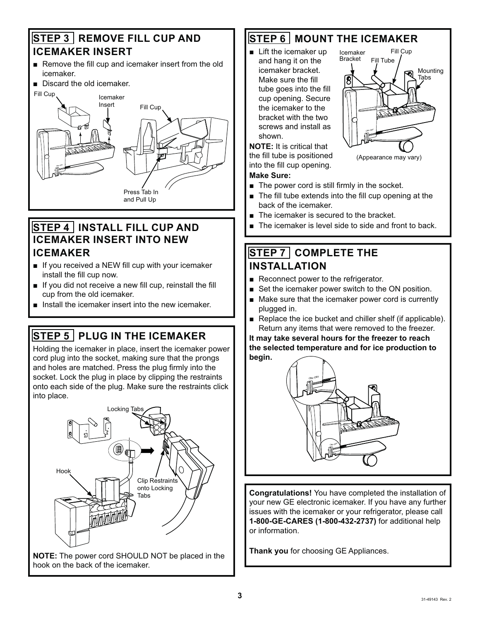#### **STEP 3 REMOVE FILL CUP AND ICEMAKER INSERT**

- Remove the fill cup and icemaker insert from the old icemaker.
- Discard the old icemaker.



#### **STEP 4 INSTALL FILL CUP AND ICEMAKER INSERT INTO NEW ICEMAKER**

- $\blacksquare$  If you received a NEW fill cup with your icemaker install the fill cup now.
- $\blacksquare$  If you did not receive a new fill cup, reinstall the fill cup from the old icemaker.
- $\blacksquare$  lnstall the icemaker insert into the new icemaker.

### **STEP 5 PLUG IN THE ICEMAKER**

Holding the icemaker in place, insert the icemaker power cord plug into the socket, making sure that the prongs and holes are matched. Press the plug firmly into the socket. Lock the plug in place by clipping the restraints onto each side of the plug. Make sure the restraints click into place.



**NOTE:** The power cord SHOULD NOT be placed in the hook on the back of the icemaker.

### **STEP 6 MOUNT THE ICEMAKER**

 $\blacksquare$  Lift the icemaker up and hang it on the icemaker bracket. Make sure the fill tube goes into the fill cup opening. Secure the icemaker to the bracket with the two screws and install as shown.



**NOTE:** It is critical that the fill tube is positioned into the fill cup opening. **Make Sure:**

- $\blacksquare$  The power cord is still firmly in the socket.
- $\blacksquare$  The fill tube extends into the fill cup opening at the back of the icemaker.
- $\blacksquare$  The icemaker is secured to the bracket.
- The icemaker is level side to side and front to back.

#### **STEP 7 COMPLETE THE INSTALLATION**

- Reconnect power to the refrigerator.
- $\blacksquare$  Set the icemaker power switch to the ON position.
- Make sure that the icemaker power cord is currently plugged in.
- Replace the ice bucket and chiller shelf (if applicable). Return any items that were removed to the freezer.

**It may take several hours for the freezer to reach the selected temperature and for ice production to begin.**



**Congratulations!** You have completed the installation of your new GE electronic icemaker. If you have any further issues with the icemaker or your refrigerator, please call **1-800-GE-CARES (1-800-432-2737)** for additional help or information.

**Thank you** for choosing GE Appliances.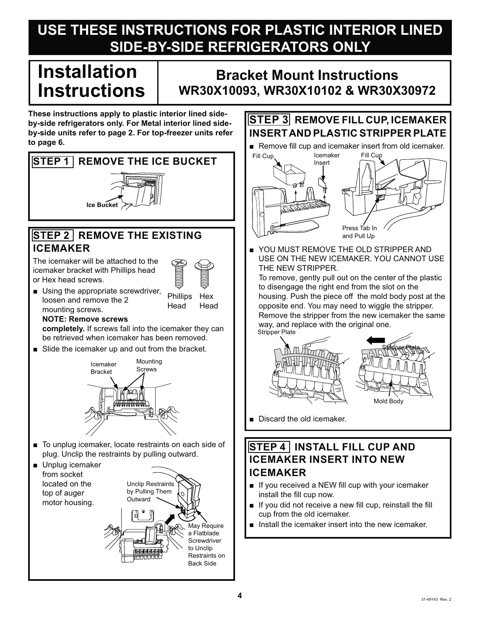# **USE THESE INSTRUCTIONS FOR PLASTIC INTERIOR LINED SIDE-BY-SIDE REFRIGERATORS ONLY**

# **Installation Instructions**

## **Bracket Mount Instructions WR30X10093, WR30X10102 & WR30X30972**

**These instructions apply to plastic interior lined sideby-side refrigerators only. For Metal interior lined sideby-side units refer to page 2. For top-freezer units refer to page 6.** 



#### **STEP 3 REMOVE FILL CUP, ICEMAKER INSERT AND PLASTIC STRIPPER PLATE**

Remove fill cup and icemaker insert from old icemaker.



YOU MUST REMOVE THE OLD STRIPPER AND USE ON THE NEW ICEMAKER, YOU CANNOT USE THE NEW STRIPPER.

To remove, gently pull out on the center of the plastic to disengage the right end from the slot on the housing. Push the piece off the mold body post at the opposite end. You may need to wiggle the stripper. Remove the stripper from the new icemaker the same way, and replace with the original one.



Discard the old icemaker.

#### **STEP 4 INSTALL FILL CUP AND ICEMAKER INSERT INTO NEW ICEMAKER**

- $\blacksquare$  If you received a NEW fill cup with your icemaker install the fill cup now.
- $\blacksquare$  If you did not receive a new fill cup, reinstall the fill cup from the old icemaker.
- $\blacksquare$  , Install the icemaker insert into the new icemaker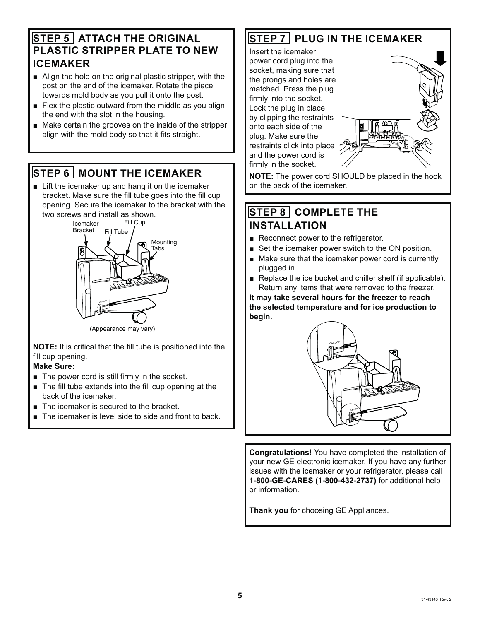#### **STEP 5 ATTACH THE ORIGINAL PLASTIC STRIPPER PLATE TO NEW ICEMAKER**

- **E** Align the hole on the original plastic stripper, with the post on the end of the icemaker. Rotate the piece towards mold body as you pull it onto the post.
- $\blacksquare$  Flex the plastic outward from the middle as you align the end with the slot in the housing.
- Make certain the grooves on the inside of the stripper align with the mold body so that it fits straight.

### **STEP 6 MOUNT THE ICEMAKER**

 $\blacksquare$  Lift the icemaker up and hang it on the icemaker bracket. Make sure the fill tube goes into the fill cup opening. Secure the icemaker to the bracket with the two screws and install as shown.



(Appearance may vary)

**NOTE:** It is critical that the fill tube is positioned into the fill cup opening.

#### **Make Sure:**

- $\blacksquare$  The power cord is still firmly in the socket.
- $\blacksquare$  The fill tube extends into the fill cup opening at the hack of the icemaker
- $\blacksquare$  The icemaker is secured to the bracket.
- The icemaker is level side to side and front to back.

#### **STEP 7 PLUG IN THE ICEMAKER**

Insert the icemaker power cord plug into the socket, making sure that the prongs and holes are matched. Press the plug firmly into the socket. Lock the plug in place by clipping the restraints onto each side of the plug. Make sure the restraints click into place and the power cord is firmly in the socket.



**NOTE:** The power cord SHOULD be placed in the hook on the back of the icemaker.

#### **STEP 8 COMPLETE THE INSTALLATION**

- Reconnect power to the refrigerator.
- $\blacksquare$  Set the icemaker power switch to the ON position.
- Make sure that the icemaker power cord is currently plugged in.
- $\blacksquare$  Replace the ice bucket and chiller shelf (if applicable). Return any items that were removed to the freezer.

**It may take several hours for the freezer to reach the selected temperature and for ice production to begin.**



**Congratulations!** You have completed the installation of your new GE electronic icemaker. If you have any further issues with the icemaker or your refrigerator, please call **1-800-GE-CARES (1-800-432-2737)** for additional help or information.

**Thank you** for choosing GE Appliances.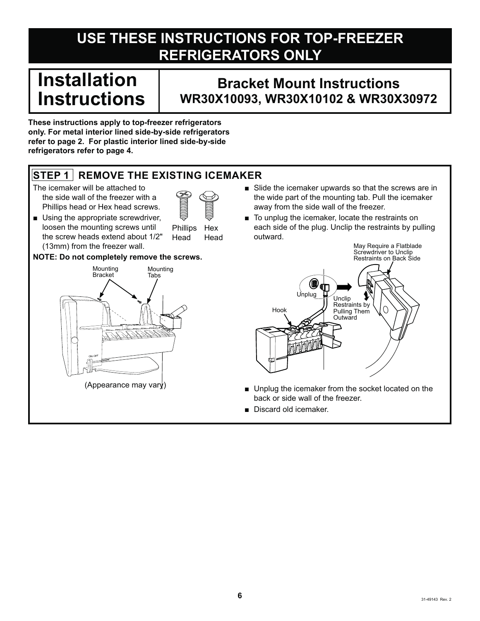# **USE THESE INSTRUCTIONS FOR TOP-FREEZER REFRIGERATORS ONLY**

# **Installation Instructions**

## **Bracket Mount Instructions WR30X10093, WR30X10102 & WR30X30972**

**These instructions apply to top-freezer refrigerators only. For metal interior lined side-by-side refrigerators refer to page 2. For plastic interior lined side-by-side refrigerators refer to page 4.**

#### **STEP 1 REMOVE THE EXISTING ICEMAKER**

- The icemaker will be attached to the side wall of the freezer with a Phillips head or Hex head screws.
- 
- $\blacksquare$  Using the appropriate screwdriver, loosen the mounting screws until the screw heads extend about 1/2" (13mm) from the freezer wall.

Phillips Hex Head Head

#### **NOTE: Do not completely remove the screws.**



- $\blacksquare$  Slide the icemaker upwards so that the screws are in the wide part of the mounting tab. Pull the icemaker away from the side wall of the freezer.
- $\blacksquare$  To unplug the icemaker, locate the restraints on each side of the plug. Unclip the restraints by pulling outward.



- **IDED** Unplug the icemaker from the socket located on the back or side wall of the freezer.
- **Discard old icemaker.**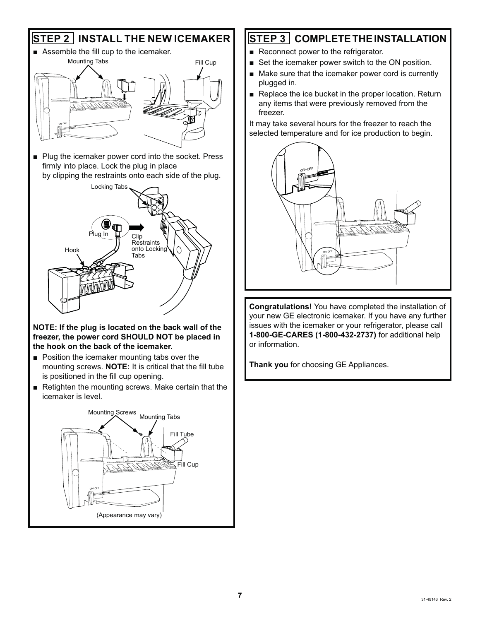



#### **NOTE: If the plug is located on the back wall of the freezer, the power cord SHOULD NOT be placed in the hook on the back of the icemaker.**

- $\blacksquare$  Position the icemaker mounting tabs over the mounting screws. **NOTE:** It is critical that the fill tube is positioned in the fill cup opening.
- Retighten the mounting screws. Make certain that the icemaker is level.



#### **STEP 3 COMPLETE THE INSTALLATION**

- Reconnect power to the refrigerator.
- $\blacksquare$  Set the icemaker power switch to the ON position.
- Make sure that the icemaker power cord is currently plugged in.
- $\blacksquare$  Replace the ice bucket in the proper location. Return any items that were previously removed from the freezer.

It may take several hours for the freezer to reach the selected temperature and for ice production to begin.



**Congratulations!** You have completed the installation of your new GE electronic icemaker. If you have any further issues with the icemaker or your refrigerator, please call **1-800-GE-CARES (1-800-432-2737)** for additional help or information.

**Thank you** for choosing GE Appliances.